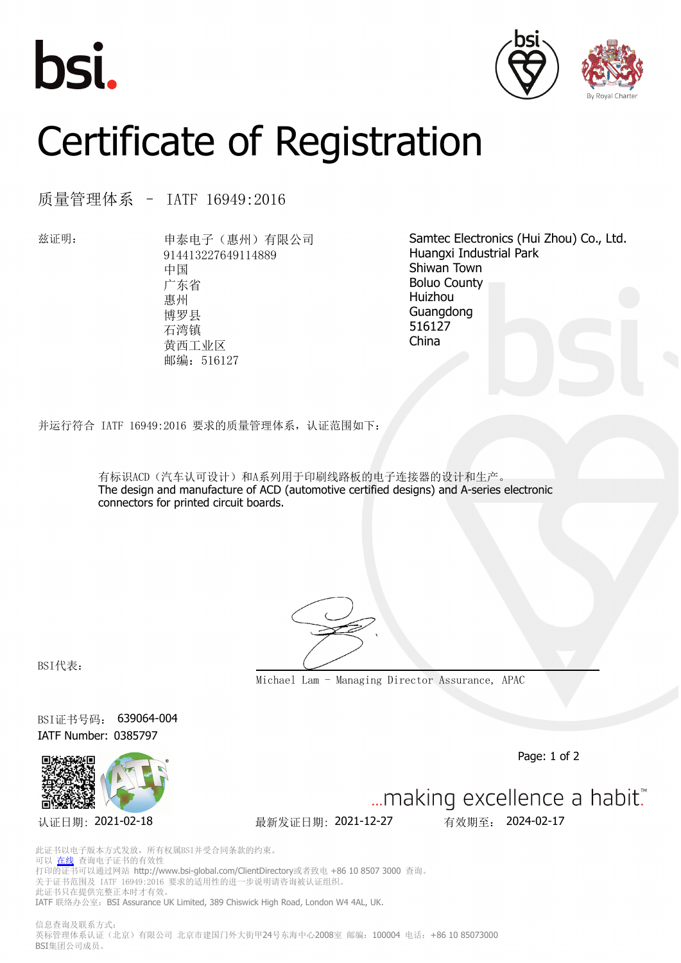





## Certificate of Registration

质量管理体系 – IATF 16949:2016

兹证明: 申泰电子(惠州)有限公司 914413227649114889 中国 广东省 惠州 博罗县 石湾镇 黄西工业区 邮编: 516127

Samtec Electronics (Hui Zhou) Co., Ltd. Huangxi Industrial Park Shiwan Town Boluo County Huizhou Guangdong 516127 China

并运行符合 IATF 16949:2016 要求的质量管理体系,认证范围如下:

有标识ACD(汽车认可设计)和A系列用于印刷线路板的电子连接器的设计和生产。 The design and manufacture of ACD (automotive certified designs) and A-series electronic connectors for printed circuit boards.

BSI代表:

**Michael Lam - Managing Director Assurance, APAC**

BSI证书号码: 639064-004 IATF Number: 0385797



Page: 1 of 2



... making excellence a habit."

此证书以电子版本方式发放,所有权属BSI并受合同条款的约束。 可以 [在线](https://pgplus.bsigroup.com/CertificateValidation/CertificateValidator.aspx?CertificateNumber=639064-004&ReIssueDate=27%2f12%2f2021&Template=cn) 查询电子证书的有效性 打印的证书可以通过网站 http://www.bsi-global.com/ClientDirectory或者致电 +86 10 8507 3000 查询。 关于证书范围及 IATF 16949:2016 要求的适用性的进一步说明请咨询被认证组织。 此证书只在提供完整正本时才有效。 IATF 联络办公室: BSI Assurance UK Limited, 389 Chiswick High Road, London W4 4AL, UK.